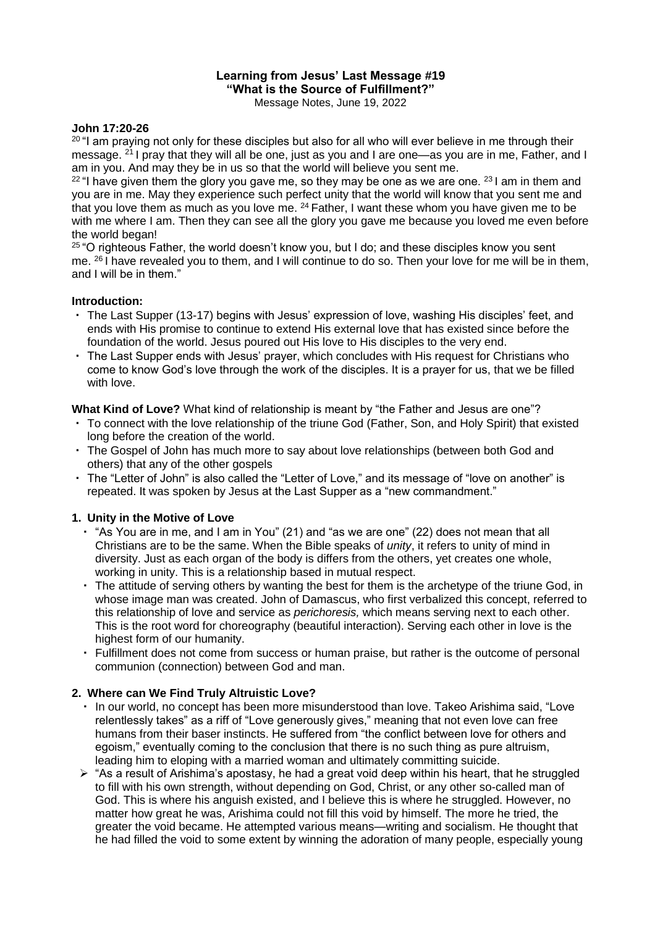# **Learning from Jesus' Last Message #19 "What is the Source of Fulfillment?"**

Message Notes, June 19, 2022

#### **John 17:20-26**

<sup>20</sup> "I am praying not only for these disciples but also for all who will ever believe in me through their message. <sup>21</sup> I pray that they will all be one, just as you and I are one—as you are in me, Father, and I am in you. And may they be in us so that the world will believe you sent me.

 $22$  "I have given them the glory you gave me, so they may be one as we are one.  $231$  am in them and you are in me. May they experience such perfect unity that the world will know that you sent me and that you love them as much as you love me.  $24$  Father, I want these whom you have given me to be with me where I am. Then they can see all the glory you gave me because you loved me even before the world began!

<sup>25</sup> "O righteous Father, the world doesn't know you, but I do; and these disciples know you sent me. <sup>26</sup> I have revealed you to them, and I will continue to do so. Then your love for me will be in them, and I will be in them."

#### **Introduction:**

- ・ The Last Supper (13-17) begins with Jesus' expression of love, washing His disciples' feet, and ends with His promise to continue to extend His external love that has existed since before the foundation of the world. Jesus poured out His love to His disciples to the very end.
- ・ The Last Supper ends with Jesus' prayer, which concludes with His request for Christians who come to know God's love through the work of the disciples. It is a prayer for us, that we be filled with love.

**What Kind of Love?** What kind of relationship is meant by "the Father and Jesus are one"?

- ・ To connect with the love relationship of the triune God (Father, Son, and Holy Spirit) that existed long before the creation of the world.
- ・ The Gospel of John has much more to say about love relationships (between both God and others) that any of the other gospels
- ・ The "Letter of John" is also called the "Letter of Love," and its message of "love on another" is repeated. It was spoken by Jesus at the Last Supper as a "new commandment."

## **1. Unity in the Motive of Love**

- ・ "As You are in me, and I am in You" (21) and "as we are one" (22) does not mean that all Christians are to be the same. When the Bible speaks of *unity*, it refers to unity of mind in diversity. Just as each organ of the body is differs from the others, yet creates one whole, working in unity. This is a relationship based in mutual respect.
- ・ The attitude of serving others by wanting the best for them is the archetype of the triune God, in whose image man was created. John of Damascus, who first verbalized this concept, referred to this relationship of love and service as *perichoresis,* which means serving next to each other. This is the root word for choreography (beautiful interaction). Serving each other in love is the highest form of our humanity.
- ・ Fulfillment does not come from success or human praise, but rather is the outcome of personal communion (connection) between God and man.

#### **2. Where can We Find Truly Altruistic Love?**

- ・ In our world, no concept has been more misunderstood than love. Takeo Arishima said, "Love relentlessly takes" as a riff of "Love generously gives," meaning that not even love can free humans from their baser instincts. He suffered from "the conflict between love for others and egoism," eventually coming to the conclusion that there is no such thing as pure altruism, leading him to eloping with a married woman and ultimately committing suicide.
- $\triangleright$  "As a result of Arishima's apostasy, he had a great void deep within his heart, that he struggled to fill with his own strength, without depending on God, Christ, or any other so-called man of God. This is where his anguish existed, and I believe this is where he struggled. However, no matter how great he was, Arishima could not fill this void by himself. The more he tried, the greater the void became. He attempted various means—writing and socialism. He thought that he had filled the void to some extent by winning the adoration of many people, especially young